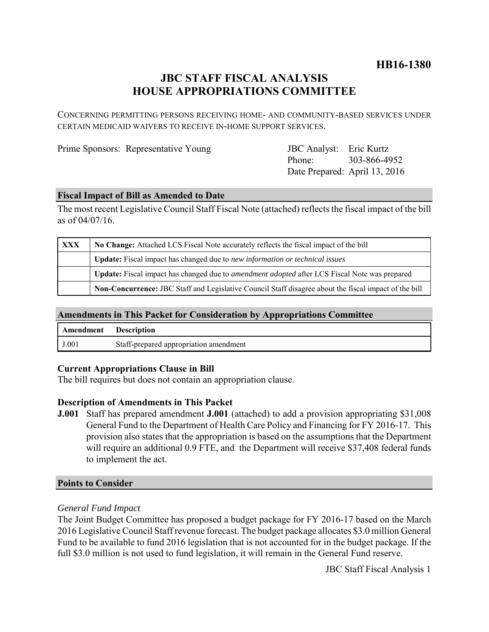## **HB16-1380**

# **JBC STAFF FISCAL ANALYSIS HOUSE APPROPRIATIONS COMMITTEE**

CONCERNING PERMITTING PERSONS RECEIVING HOME- AND COMMUNITY-BASED SERVICES UNDER CERTAIN MEDICAID WAIVERS TO RECEIVE IN-HOME SUPPORT SERVICES.

Prime Sponsors: Representative Young

Phone: Date Prepared: April 13, 2016 JBC Analyst: Eric Kurtz 303-866-4952

#### **Fiscal Impact of Bill as Amended to Date**

The most recent Legislative Council Staff Fiscal Note (attached) reflects the fiscal impact of the bill as of 04/07/16.

| <b>XXX</b> | No Change: Attached LCS Fiscal Note accurately reflects the fiscal impact of the bill                       |
|------------|-------------------------------------------------------------------------------------------------------------|
|            | <b>Update:</b> Fiscal impact has changed due to new information or technical issues                         |
|            | <b>Update:</b> Fiscal impact has changed due to <i>amendment adopted</i> after LCS Fiscal Note was prepared |
|            | Non-Concurrence: JBC Staff and Legislative Council Staff disagree about the fiscal impact of the bill       |

### **Amendments in This Packet for Consideration by Appropriations Committee**

| <b>Amendment</b> Description |                                        |
|------------------------------|----------------------------------------|
| J.001                        | Staff-prepared appropriation amendment |

#### **Current Appropriations Clause in Bill**

The bill requires but does not contain an appropriation clause.

#### **Description of Amendments in This Packet**

**J.001** Staff has prepared amendment **J.001** (attached) to add a provision appropriating \$31,008 General Fund to the Department of Health Care Policy and Financing for FY 2016-17. This provision also states that the appropriation is based on the assumptions that the Department will require an additional 0.9 FTE, and the Department will receive \$37,408 federal funds to implement the act.

#### **Points to Consider**

#### *General Fund Impact*

The Joint Budget Committee has proposed a budget package for FY 2016-17 based on the March 2016 Legislative Council Staff revenue forecast. The budget package allocates \$3.0 million General Fund to be available to fund 2016 legislation that is not accounted for in the budget package. If the full \$3.0 million is not used to fund legislation, it will remain in the General Fund reserve.